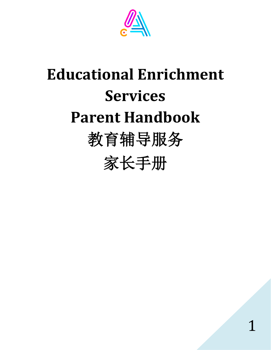

# **Educational Enrichment Services Parent Handbook** 教育辅导服务

家长手册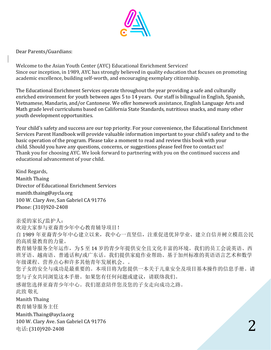

Dear Parents/Guardians:

Welcome to the Asian Youth Center (AYC) Educational Enrichment Services! Since our inception, in 1989, AYC has strongly believed in quality education that focuses on promoting academic excellence, building self-worth, and encouraging exemplary citizenship.

The Educational Enrichment Services operate throughout the year providing a safe and culturally enriched environment for youth between ages 5 to 14 years. Our staff is bilingual in English, Spanish, Vietnamese, Mandarin, and/or Cantonese. We offer homework assistance, English Language Arts and Math grade level curriculums based on California State Standards, nutritious snacks, and many other youth development opportunities.

Your child's safety and success are our top priority. For your convenience, the Educational Enrichment Services Parent Handbook will provide valuable information important to your child's safety and to the basic operation of the program. Please take a moment to read and review this book with your child. Should you have any questions, concerns, or suggestions please feel free to contact us! Thank you for choosing AYC. We look forward to partnering with you on the continued success and educational advancement of your child.

Kind Regards, Manith Thaing Director of Educational Enrichment Services manith.thaing@aycla.org 100 W. Clary Ave, San Gabriel CA 91776 Phone: (310)920-2408

亲爱的家长/监护人: 欢迎大家参与亚裔青少年中心教育辅导项目! 自 1989 年亚裔青少年中心建立以来,我中心一直坚信,注重促进优异学业、建立自信并树立模范公民 的高质量教育的力量。 教育辅导服务全年运作,为 5 至 14 岁的青少年提供安全且文化丰富的环境。我们的员工会说英语、西 班牙语、越南语、普通话和/或广东话。我们提供家庭作业帮助、基于加州标准的英语语言艺术和数学 年级课程、营养点心和许多其他青年发展机会。。 您子女的安全与成功是最重要的。本项目将为您提供一本关于儿童安全及项目基本操作的信息手册。请 您与子女共同浏览这本手册。如果您有任何问题或建议,请联络我们。 感谢您选择亚裔青少年中心。我们愿意陪伴您及您的子女走向成功之路。 此致 敬礼 Manith Thaing 教育辅导服务主任 Manith.Thaing@aycla.org 100 W. Clary Ave. San Gabriel CA 91776 电话: (310)920-2408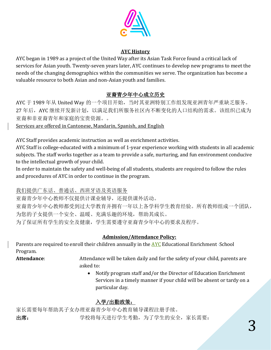

#### **AYC History**

AYC began in 1989 as a project of the United Way after its Asian Task Force found a critical lack of services for Asian youth. Twenty-seven years later, AYC continues to develop new programs to meet the needs of the changing demographics within the communities we serve. The organization has become a valuable resource to both Asian and non-Asian youth and families.

# 亚裔青少年中心成立历史

AYC 于 1989 年从 United Way 的一个项目开始,当时其亚洲特别工作组发现亚洲青年严重缺乏服务。 27 年后, AYC 继续开发新计划, 以满足我们所服务社区内不断变化的人口结构的需求。该组织已成为 亚裔和非亚裔青年和家庭的宝贵资源。。

Services are offered in Cantonese, Mandarin, Spanish, and English

AYC Staff provides academic instruction as well as enrichment activities.

AYC Staff is college-educated with a minimum of 1-year experience working with students in all academic subjects. The staff works together as a team to provide a safe, nurturing, and fun environment conducive to the intellectual growth of your child.

In order to maintain the safety and well-being of all students, students are required to follow the rules and procedures of AYC in order to continue in the program.

# 我们提供广东话、普通话、西班牙语及英语服务

亚裔青少年中心教师不仅提供计课业辅导,还提供课外活动。

亚裔青少年中心教师都受到过大学教育并拥有一年以上各学科学生教育经验。所有教师组成一个团队, 为您的子女提供一个安全、温暖、充满乐趣的环境,帮助其成长。 为了保证所有学生的安全及健康,学生需要遵守亚裔青少年中心的要求及程序。

# **Admission/Attendance Policy:**

Parents are required to enroll their children annually in the **AYC** Educational Enrichment -School Program.

**Attendance**: Attendance will be taken daily and for the safety of your child, parents are asked to:

> • Notify program staff and/or the Director of Education Enrichment Services in a timely manner if your child will be absent or tardy on a particular day.

# 入学**/**出勤政策:

家长需要每年帮助其子女办理亚裔青少年中心教育辅导课程注册手续。 出席: 学校将每天进行学生考勤,为了学生的安全,家长需要: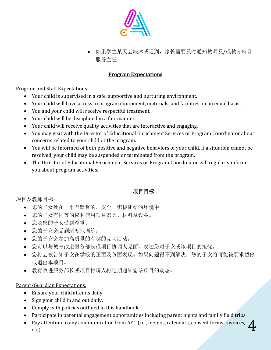

• 如果学生某天会缺席或迟到,家长需要及时通知教师及/或教育辅导 服务主任

#### **Program Expectations**

Program and Staff Expectations:

- Your child is supervised in a safe, supportive and nurturing environment.
- Your child will have access to program equipment, materials, and facilities on an equal basis.
- You and your child will receive respectful treatment.
- Your child will be disciplined in a fair manner.
- Your child will receive quality activities that are interactive and engaging.
- You may visit with the Director of Educational Enrichment Services or Program Coordinator about concerns related to your child or the program.
- You will be informed of both positive and negative behaviors of your child. If a situation cannot be resolved, your child may be suspended or terminated from the program.
- The Director of Educational Enrichment Services or Program Coordinator will regularly inform you about program activities.

# 项目目标

项目及教师目标:

- 您的子女处在一个有监督的,安全、积极团结的环境中。
- 您的子女有同等的权利使用项目器具、材料及设备。
- 您及您的子女受到尊重。
- 您的子女会受到适度地训练。
- 您的子女会参加高质量的有趣的互动活动。
- 您可以与教育改进服务部长或项目协调人见面,表达您对子女或该项目的担忧。
- 您将会被告知子女在学校的正面及负面表现。如果问题得不到解决,您的子女将可能被要求暂停 或退出本项目。
- 教育改进服务部长或项目协调人将定期通知您该项目的动态。

#### Parent/Guardian Expectations:

- Ensure your child attends daily.
- Sign your child in and out daily.
- Comply with policies outlined in this handbook.
- Participate in parental engagement opportunities including parent nights and family field trips.
- 4 • Pay attention to any communication from AYC (i.e., memos, calendars, consent forms, invoices, etc).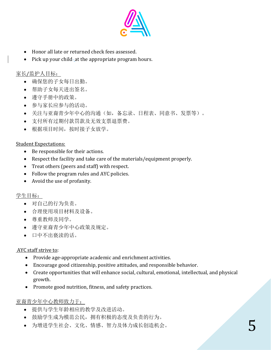

- Honor all late or returned check fees assessed.
- Pick up your child-at the appropriate program hours.

# 家长/监护人目标:

- 确保您的子女每日出勤。
- 帮助子女每天进出签名。
- 遵守手册中的政策。
- 参与家长应参与的活动。
- 关注与亚裔青少年中心的沟通(如,备忘录、日程表、同意书、发票等)。
- 支付所有过期付款罚款及无效支票退票费。
- 根据项目时间,按时接子女放学。

#### Student Expectations:

- Be responsible for their actions.
- Respect the facility and take care of the materials/equipment properly.
- Treat others (peers and staff) with respect.
- Follow the program rules and AYC policies.
- Avoid the use of profanity.

#### 学生目标:

- 对自己的行为负责。
- 合理使用项目材料及设备。
- 尊重教师及同学。
- 遵守亚裔青少年中心政策及规定。
- 口中不出亵渎的话。

#### AYC staff strive to:

- Provide age-appropriate academic and enrichment activities.
- Encourage good citizenship, positive attitudes, and responsible behavior.
- Create opportunities that will enhance social, cultural, emotional, intellectual, and physical growth.
- Promote good nutrition, fitness, and safety practices.

#### 亚裔青少年中心教师致力于:

- 提供与学生年龄相应的教学及改进活动。
- 鼓励学生成为模范公民,拥有积极的态度及负责的行为。
- 为增进学生社会、文化、情感、智力及体力成长创造机会。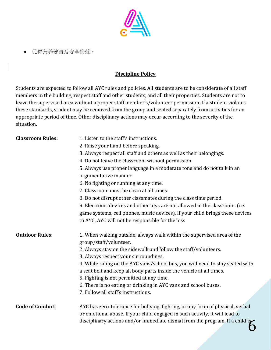

• 促进营养健康及安全锻炼。

### **Discipline Policy**

Students are expected to follow all AYC rules and policies. All students are to be considerate of all staff members in the building, respect staff and other students, and all their properties. Students are not to leave the supervised area without a proper staff member's/volunteer permission. If a student violates these standards, student may be removed from the group and seated separately from activities for an appropriate period of time. Other disciplinary actions may occur according to the severity of the situation.

| <b>Classroom Rules:</b> | 1. Listen to the staff's instructions.<br>2. Raise your hand before speaking.<br>3. Always respect all staff and others as well as their belongings.<br>4. Do not leave the classroom without permission.<br>5. Always use proper language in a moderate tone and do not talk in an<br>argumentative manner.<br>6. No fighting or running at any time.<br>7. Classroom must be clean at all times.<br>8. Do not disrupt other classmates during the class time period.<br>9. Electronic devices and other toys are not allowed in the classroom. (i.e.<br>game systems, cell phones, music devices). If your child brings these devices<br>to AYC, AYC will not be responsible for the loss |
|-------------------------|---------------------------------------------------------------------------------------------------------------------------------------------------------------------------------------------------------------------------------------------------------------------------------------------------------------------------------------------------------------------------------------------------------------------------------------------------------------------------------------------------------------------------------------------------------------------------------------------------------------------------------------------------------------------------------------------|
| <b>Outdoor Rules:</b>   | 1. When walking outside, always walk within the supervised area of the<br>group/staff/volunteer.<br>2. Always stay on the sidewalk and follow the staff/volunteers.<br>3. Always respect your surroundings.<br>4. While riding on the AYC vans/school bus, you will need to stay seated with<br>a seat belt and keep all body parts inside the vehicle at all times.<br>5. Fighting is not permitted at any time.<br>6. There is no eating or drinking in AYC vans and school buses.<br>7. Follow all staff's instructions.                                                                                                                                                                 |
| <b>Code of Conduct:</b> | AYC has zero-tolerance for bullying, fighting, or any form of physical, verbal<br>or emotional abuse. If your child engaged in such activity, it will lead to<br>disciplinary actions and/or immediate dismal from the program. If a child is                                                                                                                                                                                                                                                                                                                                                                                                                                               |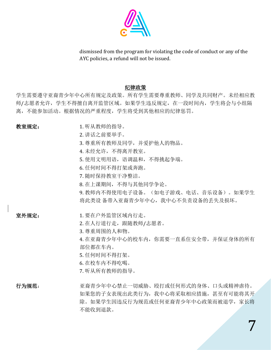

dismissed from the program for violating the code of conduct or any of the AYC policies, a refund will not be issued.

#### 纪律政策

学生需要遵守亚裔青少年中心所有规定及政策。所有学生需要尊重教师、同学及共同财产。未经相应教 师/志愿者允许,学生不得擅自离开监管区域。如果学生违反规定,在一段时间内,学生将会与小组隔 离,不能参加活动。根据情况的严重程度,学生将受到其他相应的纪律惩罚。

- 教室规定: 1. 听从教师的指导。
	- 2. 讲话之前要举手。
	- 3. 尊重所有教师及同学,并爱护他人的物品。
	- 4. 未经允许,不得离开教室。
	- 5. 使用文明用语,语语调温和,不得挑起争端。
	- 6. 任何时间不得打架或奔跑。
	- 7. 随时保持教室干净整洁。
	- 8. 在上课期间,不得与其他同学争论。

9. 教师内不得使用电子设备。(如电子游戏、电话、音乐设备)。如果学生 将此类设 备带入亚裔青少年中心,我中心不负责设备的丢失及损坏。

室外规定: 1. 要在户外监管区域内行走。

2. 在人行道行走,跟随教师/志愿者。

- 3. 尊重周围的人和物。
- 4. 在亚裔青少年中心的校车内,你需要一直系住安全带,并保证身体的所有 部位都在车内。
- 5. 任何时间不得打架。
- 6. 在校车内不得吃喝。
- 7. 听从所有教师的指导。

行为规范: 亚裔青少年中心禁止一切威胁、殴打或任何形式的身体、口头或精神虐待。 如果您的子女表现出此类行为,我中心将采取相应措施,甚至有可能将其开 除。如果学生因违反行为规范或任何亚裔青少年中心政策而被退学,家长将 不能收到退款。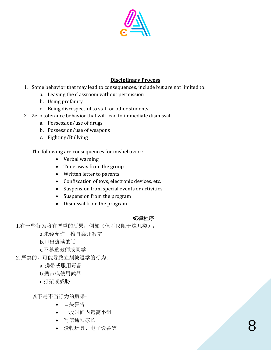

#### **Disciplinary Process**

- 1. Some behavior that may lead to consequences, include but are not limited to:
	- a. Leaving the classroom without permission
	- b. Using profanity
	- c. Being disrespectful to staff or other students
- 2. Zero tolerance behavior that will lead to immediate dismissal:
	- a. Possession/use of drugs
	- b. Possession/use of weapons
	- c. Fighting/Bullying

#### The following are consequences for misbehavior:

- Verbal warning
- Time away from the group
- Written letter to parents
- Confiscation of toys, electronic devices, etc.
- Suspension from special events or activities
- Suspension from the program
- Dismissal from the program

#### 纪律程序

1.有一些行为将有严重的后果,例如(但不仅限于这几类):

a.未经允许, 擅自离开教室

b.口出亵渎的话

c.不尊重教师或同学

- 2. 严禁的,可能导致立刻被退学的行为:
	- a. 携带或服用毒品
	- b.携带或使用武器
	- c.打架或威胁

以下是不当行为的后果:

- 口头警告
- 一段时间内远离小组
- 写信通知家长
- 没收玩具、电子设备等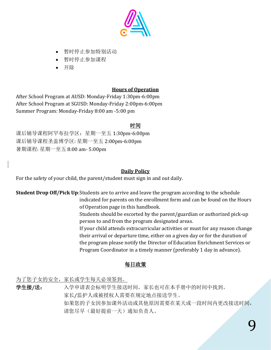

- 暂时停止参加特别活动
- 暂时停止参加课程
- 开除

## **Hours of Operation**

After School Program at AUSD: Monday-Friday 1:30pm-6:00pm After School Program at SGUSD: Monday-Friday 2:00pm-6:00pm Summer Program: Monday-Friday 8:00 am -5:00 pm

# 时间

课后辅导课程阿罕布拉学区:星期一至五 1:30pm-6:00pm 课后辅导课程圣盖博学区: 星期一至五 2:00pm-6:00pm 暑期课程: 星期一至五 8:00 am- 5:00pm

# **Daily Policy**

For the safety of your child, the parent/student must sign in and out daily.

**Student Drop Off/Pick Up**:Students are to arrive and leave the program according to the schedule indicated for parents on the enrollment form and can be found on the Hours

of Operation page in this handbook.

Students should be escorted by the parent/guardian or authorized pick-up person to and from the program designated areas.

If your child attends extracurricular activities or must for any reason change their arrival or departure time, either on a given day or for the duration of the program please notify the Director of Education Enrichment Services or Program Coordinator in a timely manner (preferably 1 day in advance).

# 每日政策

为了您子女的安全,家长或学生每天必须签到。

学生接**/**送: 入学申请表会标明学生接送时间,家长也可在本手册中的时间中找到。 家长/监护人或被授权人需要在规定地点接送学生。 如果您的子女因参加课外活动或其他原因需要在某天或一段时间内更改接送时间, 请您尽早(最好提前一天)通知负责人。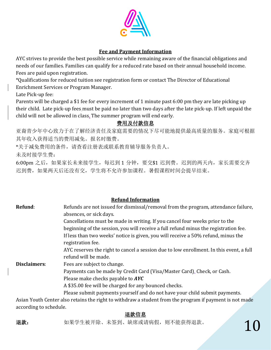

#### **Fee and Payment Information**

AYC strives to provide the best possible service while remaining aware of the financial obligations and needs of our families. Families can qualify for a reduced rate based on their annual household income. Fees are paid upon registration.

\*Qualifications for reduced tuition see registration form or contact The Director of Educational Enrichment Services or Program Manager.

Late Pick-up fee:

Parents will be charged a \$1 fee for every increment of 1 minute past 6:00 pm they are late picking up their child. Late pick-up fees must be paid no later than two days after the late pick-up. If left unpaid the child will not be allowed in class. The summer program will end early.

## 费用及付款信息

亚裔青少年中心致力于在了解经济责任及家庭需要的情况下尽可能地提供最高质量的服务。家庭可根据 其年收入获得适当的费用减免。报名时缴费。

\*关于减免费用的条件,请查看注册表或联系教育辅导服务负责人。

未及时接学生费:

6:00pm 之后,如果家长未来接学生,每迟到 1 分钟,要交\$1 迟到费。迟到的两天内,家长需要交齐 迟到费,如果两天后还没有交,学生将不允许参加课程。暑假课程时间会提早结束。

#### **Refund Information**

| Refund:      | Refunds are not issued for dismissal/removal from the program, attendance failure,<br>absences, or sick days.   |
|--------------|-----------------------------------------------------------------------------------------------------------------|
|              |                                                                                                                 |
|              | Cancellations must be made in writing. If you cancel four weeks prior to the                                    |
|              | beginning of the session, you will receive a full refund minus the registration fee.                            |
|              | If less than two weeks' notice is given, you will receive a 50% refund, minus the<br>registration fee.          |
|              | AYC reserves the right to cancel a session due to low enrollment. In this event, a full<br>refund will be made. |
| Disclaimers: | Fees are subject to change.                                                                                     |
|              | Payments can be made by Credit Card (Visa/Master Card), Check, or Cash.                                         |
|              | Please make checks payable to AYC                                                                               |
|              | A \$35.00 fee will be charged for any bounced checks.                                                           |
|              | Please submit payments yourself and do not have your child submit payments.                                     |
|              | Agian Vauth Cantor algo notaina tha wight to with draws a student from the program if normant is not meda       |

Asian Youth Center also retains the right to withdraw a student from the program if payment is not made according to schedule.

#### 退款信息

退款: 如果学生被开除、未签到、缺席或请病假,则不能获得退款。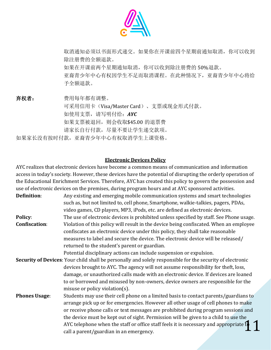

取消通知必须以书面形式递交。如果你在开课前四个星期前通知取消,你可以收到 除注册费的全额退款。 如果在开课前两个星期通知取消,你可以收到除注册费的 50%退款。 亚裔青少年中心有权因学生不足而取消课程。在此种情况下,亚裔青少年中心将给 予全额退款。

弃权者: 费用每年都有调整。

可采用信用卡(Visa/Master Card)、支票或现金形式付款。 如使用支票,请写明付给:*AYC* 如果支票被退回,则会收取\$45.00 的退票费 请家长自行付款,尽量不要让学生递交款项。 如果家长没有按时付款,亚裔青少年中心有权取消学生上课资格。

**Electronic Devices Policy**

AYC realizes that electronic devices have become a common means of communication and information access in today's society. However, these devices have the potential of disrupting the orderly operation of the Educational Enrichment Services. Therefore, AYC has created this policy to govern the possession and use of electronic devices on the premises, during program hours and at AYC sponsored activities.

| Definition:          | Any existing and emerging mobile communication systems and smart technologies                             |
|----------------------|-----------------------------------------------------------------------------------------------------------|
|                      | such as, but not limited to, cell phone, Smartphone, walkie-talkies, pagers, PDAs,                        |
|                      | video games, CD players, MP3, iPods, etc. are defined as electronic devices.                              |
| <b>Policy:</b>       | The use of electronic devices is prohibited unless specified by staff. See Phone usage.                   |
| <b>Confiscation:</b> | Violation of this policy will result in the device being confiscated. When an employee                    |
|                      | confiscates an electronic device under this policy, they shall take reasonable                            |
|                      | measures to label and secure the device. The electronic device will be released/                          |
|                      | returned to the student's parent or guardian.                                                             |
|                      | Potential disciplinary actions can include suspension or expulsion.                                       |
|                      | Security of Devices: Your child shall be personally and solely responsible for the security of electronic |
|                      | devices brought to AYC. The agency will not assume responsibility for theft, loss,                        |
|                      | damage, or unauthorized calls made with an electronic device. If devices are loaned                       |
|                      | to or borrowed and misused by non-owners, device owners are responsible for the                           |
|                      | misuse or policy violation(s).                                                                            |
| <b>Phones Usage:</b> | Students may use their cell phone on a limited basis to contact parents/guardians to                      |
|                      | arrange pick up or for emergencies. However all other usage of cell phones to make                        |
|                      | or receive phone calls or text messages are prohibited during program sessions and                        |
|                      | the device must be kept out of sight. Permission will be given to a child to use the                      |
|                      | AYC telephone when the staff or office staff feels it is necessary and appropriate to                     |
|                      | call a parent/guardian in an emergency.                                                                   |
|                      |                                                                                                           |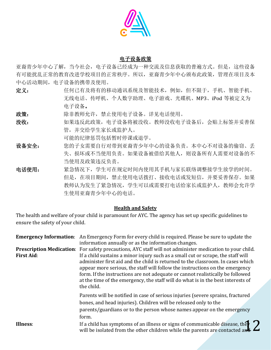

#### 电子设备政策

亚裔青少年中心了解,当今社会,电子设备已经成为一种交流及信息获取的普遍方式。但是,这些设备 有可能扰乱正常的教育改进学校项目的正常秩序。所以,亚裔青少年中心颁布此政策,管理在项目及本 中心活动期间,电子设备的携带及使用。

- 定义: 任何已有及将有的移动通讯系统及智能技术,例如,但不限于,手机、智能手机、 无线电话、传呼机、个人数字助理、电子游戏、光碟机、MP3、iPod 等被定义为 电子设备。
- 政策: 陈非教师允许,禁止使用电子设备。详见电话使用。
- 没收: 如果违反此政策,电子设备将被没收。教师没收电子设备后,会贴上标签并妥善保 管,并交给学生家长或监护人。

可能的纪律惩罚包括暂时停课或退学。

- 设备安全: 您的子女需要自行对带到亚裔青少年中心的设备负责。本中心不对设备的偷窃、丢 失、损坏或不当使用负责。如果设备被借给其他人,则设备所有人需要对设备的不 当使用及政策违反负责。
- 电话使用: 紧急情况下,学生可在规定时间内使用其手机与家长联络调整接学生放学的时间。 但是,在项目期间,禁止使用电话拨打、接收电话或发短信,并要妥善保存。如果 教师认为发生了紧急情况,学生可以或需要打电话给家长或监护人,教师会允许学 生使用亚裔青少年中心的电话。

#### **Health and Safety**

The health and welfare of your child is paramount for AYC. The agency has set up specific guidelines to ensure the safety of your child.

| <b>First Aid:</b> | <b>Emergency Information:</b> An Emergency Form for every child is required. Please be sure to update the<br>information annually or as the information changes.<br>Prescription Medication: For safety precautions, AYC staff will not administer medication to your child.<br>If a child sustains a minor injury such as a small cut or scrape, the staff will<br>administer first aid and the child is returned to the classroom. In cases which<br>appear more serious, the staff will follow the instructions on the emergency<br>form. If the instructions are not adequate or cannot realistically be followed<br>at the time of the emergency, the staff will do what is in the best interests of |
|-------------------|-----------------------------------------------------------------------------------------------------------------------------------------------------------------------------------------------------------------------------------------------------------------------------------------------------------------------------------------------------------------------------------------------------------------------------------------------------------------------------------------------------------------------------------------------------------------------------------------------------------------------------------------------------------------------------------------------------------|
| Illness:          | the child.<br>Parents will be notified in case of serious injuries (severe sprains, fractured<br>bones, and head injuries). Children will be released only to the<br>parents/guardians or to the person whose names appear on the emergency<br>form.<br>If a child has symptoms of an illness or signs of communicable disease, the $\sum_{\text{will be isolated from the other children while the parents are constructed and the number of times.}$<br>will be isolated from the other children while the parents are contacted and                                                                                                                                                                    |